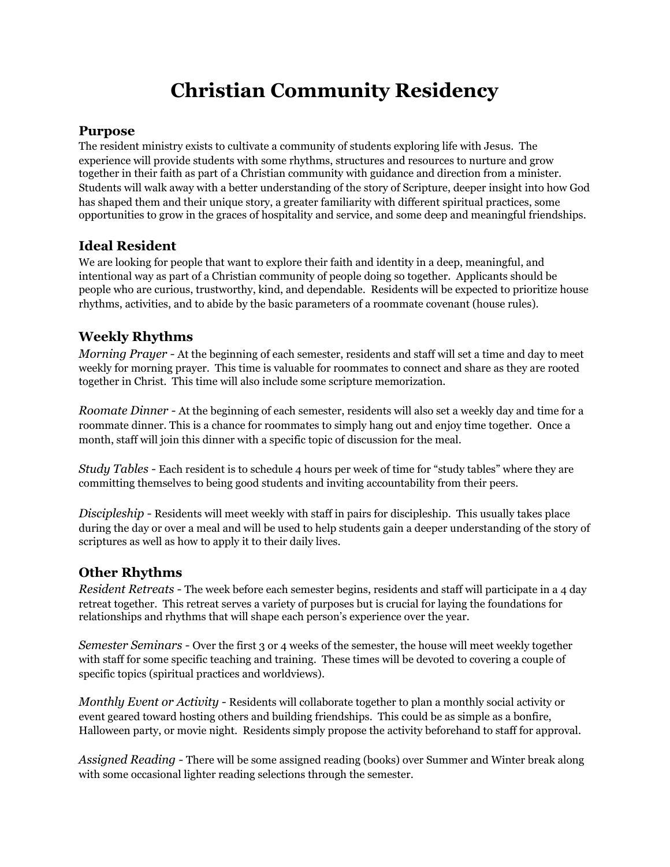# **Christian Community Residency**

#### **Purpose**

The resident ministry exists to cultivate a community of students exploring life with Jesus. The experience will provide students with some rhythms, structures and resources to nurture and grow together in their faith as part of a Christian community with guidance and direction from a minister. Students will walk away with a better understanding of the story of Scripture, deeper insight into how God has shaped them and their unique story, a greater familiarity with different spiritual practices, some opportunities to grow in the graces of hospitality and service, and some deep and meaningful friendships.

# **Ideal Resident**

We are looking for people that want to explore their faith and identity in a deep, meaningful, and intentional way as part of a Christian community of people doing so together. Applicants should be people who are curious, trustworthy, kind, and dependable. Residents will be expected to prioritize house rhythms, activities, and to abide by the basic parameters of a roommate covenant (house rules).

## **Weekly Rhythms**

*Morning Prayer -* At the beginning of each semester, residents and staff will set a time and day to meet weekly for morning prayer. This time is valuable for roommates to connect and share as they are rooted together in Christ. This time will also include some scripture memorization.

*Roomate Dinner -* At the beginning of each semester, residents will also set a weekly day and time for a roommate dinner. This is a chance for roommates to simply hang out and enjoy time together. Once a month, staff will join this dinner with a specific topic of discussion for the meal.

*Study Tables -* Each resident is to schedule 4 hours per week of time for "study tables" where they are committing themselves to being good students and inviting accountability from their peers.

*Discipleship -* Residents will meet weekly with staff in pairs for discipleship. This usually takes place during the day or over a meal and will be used to help students gain a deeper understanding of the story of scriptures as well as how to apply it to their daily lives.

# **Other Rhythms**

*Resident Retreats -* The week before each semester begins, residents and staff will participate in a 4 day retreat together. This retreat serves a variety of purposes but is crucial for laying the foundations for relationships and rhythms that will shape each person's experience over the year.

*Semester Seminars -* Over the first 3 or 4 weeks of the semester, the house will meet weekly together with staff for some specific teaching and training. These times will be devoted to covering a couple of specific topics (spiritual practices and worldviews).

*Monthly Event or Activity -* Residents will collaborate together to plan a monthly social activity or event geared toward hosting others and building friendships. This could be as simple as a bonfire, Halloween party, or movie night. Residents simply propose the activity beforehand to staff for approval.

*Assigned Reading -* There will be some assigned reading (books) over Summer and Winter break along with some occasional lighter reading selections through the semester.